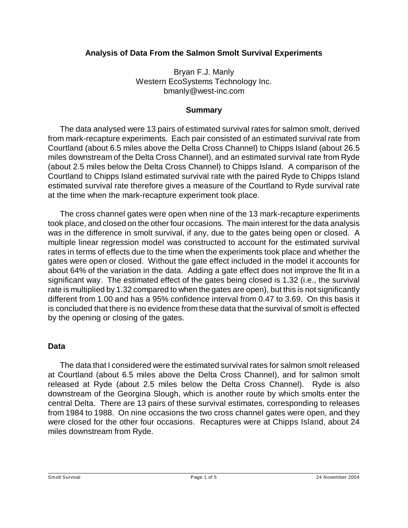# **Analysis of Data From the Salmon Smolt Survival Experiments**

Bryan F.J. Manly Western EcoSystems Technology Inc. bmanly@west-inc.com

#### **Summary**

The data analysed were 13 pairs of estimated survival rates for salmon smolt, derived from mark-recapture experiments. Each pair consisted of an estimated survival rate from Courtland (about 6.5 miles above the Delta Cross Channel) to Chipps Island (about 26.5 miles downstream of the Delta Cross Channel), and an estimated survival rate from Ryde (about 2.5 miles below the Delta Cross Channel) to Chipps Island. A comparison of the Courtland to Chipps Island estimated survival rate with the paired Ryde to Chipps Island estimated survival rate therefore gives a measure of the Courtland to Ryde survival rate at the time when the mark-recapture experiment took place.

The cross channel gates were open when nine of the 13 mark-recapture experiments took place, and closed on the other four occasions. The main interest for the data analysis was in the difference in smolt survival, if any, due to the gates being open or closed. A multiple linear regression model was constructed to account for the estimated survival rates in terms of effects due to the time when the experiments took place and whether the gates were open or closed. Without the gate effect included in the model it accounts for about 64% of the variation in the data. Adding a gate effect does not improve the fit in a significant way. The estimated effect of the gates being closed is 1.32 (i.e., the survival rate is multiplied by 1.32 compared to when the gates are open), but this is not significantly different from 1.00 and has a 95% confidence interval from 0.47 to 3.69. On this basis it is concluded that there is no evidence from these data that the survival of smolt is effected by the opening or closing of the gates.

# **Data**

The data that I considered were the estimated survival rates for salmon smolt released at Courtland (about 6.5 miles above the Delta Cross Channel), and for salmon smolt released at Ryde (about 2.5 miles below the Delta Cross Channel). Ryde is also downstream of the Georgina Slough, which is another route by which smolts enter the central Delta. There are 13 pairs of these survival estimates, corresponding to releases from 1984 to 1988. On nine occasions the two cross channel gates were open, and they were closed for the other four occasions. Recaptures were at Chipps Island, about 24 miles downstream from Ryde.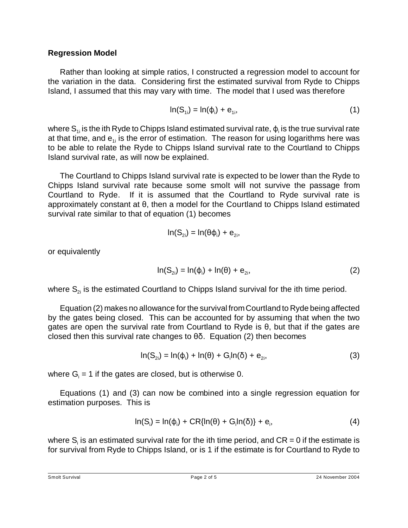### **Regression Model**

Rather than looking at simple ratios, I constructed a regression model to account for the variation in the data. Considering first the estimated survival from Ryde to Chipps Island, I assumed that this may vary with time. The model that I used was therefore

$$
ln(S_{1i}) = ln(\phi_i) + e_{1i},
$$
 (1)

where  ${\sf S}_{\rm \tau i}$  is the ith Ryde to Chipps Island estimated survival rate,  $\sf \varphi_i$  is the true survival rate at that time, and  $e_{1i}$  is the error of estimation. The reason for using logarithms here was to be able to relate the Ryde to Chipps Island survival rate to the Courtland to Chipps Island survival rate, as will now be explained.

The Courtland to Chipps Island survival rate is expected to be lower than the Ryde to Chipps Island survival rate because some smolt will not survive the passage from Courtland to Ryde. If it is assumed that the Courtland to Ryde survival rate is approximately constant at  $\theta$ , then a model for the Courtland to Chipps Island estimated survival rate similar to that of equation (1) becomes

$$
In(S_{2i}) = In(\theta \varphi_i) + e_{2i},
$$

or equivalently

$$
\ln(S_{2i}) = \ln(\phi_i) + \ln(\theta) + e_{2i},
$$
 (2)

where  $S_{2i}$  is the estimated Courtland to Chipps Island survival for the ith time period.

Equation (2) makes no allowance for the survival from Courtland to Ryde being affected by the gates being closed. This can be accounted for by assuming that when the two gates are open the survival rate from Courtland to Ryde is  $\theta$ , but that if the gates are closed then this survival rate changes to  $\theta\delta$ . Equation (2) then becomes

$$
\ln(S_{2i}) = \ln(\varphi_i) + \ln(\theta) + G_i \ln(\delta) + e_{2i},
$$
\n(3)

where  $G_i = 1$  if the gates are closed, but is otherwise 0.

Equations (1) and (3) can now be combined into a single regression equation for estimation purposes. This is

$$
ln(S_i) = ln(\Phi_i) + CR{ln(\theta) + G_i}ln(\delta)) + e_i,
$$
\n(4)

where  $S_i$  is an estimated survival rate for the ith time period, and  $CR = 0$  if the estimate is for survival from Ryde to Chipps Island, or is 1 if the estimate is for Courtland to Ryde to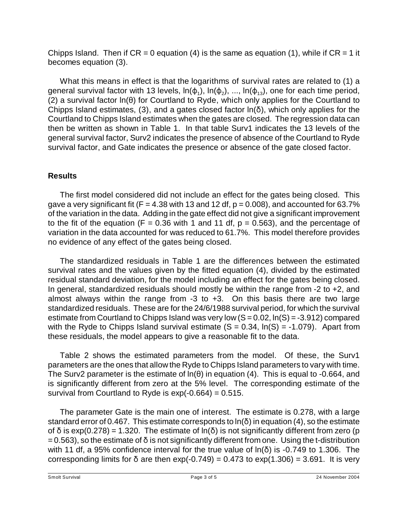Chipps Island. Then if  $CR = 0$  equation (4) is the same as equation (1), while if  $CR = 1$  it becomes equation (3).

What this means in effect is that the logarithms of survival rates are related to (1) a general survival factor with 13 levels,  $ln(\phi_1)$ ,  $ln(\phi_2)$ , ...,  $ln(\phi_{13})$ , one for each time period, (2) a survival factor  $ln(\theta)$  for Courtland to Ryde, which only applies for the Courtland to Chipps Island estimates, (3), and a gates closed factor  $In(\delta)$ , which only applies for the Courtland to Chipps Island estimates when the gates are closed. The regression data can then be written as shown in Table 1. In that table Surv1 indicates the 13 levels of the general survival factor, Surv2 indicates the presence of absence of the Courtland to Ryde survival factor, and Gate indicates the presence or absence of the gate closed factor.

# **Results**

The first model considered did not include an effect for the gates being closed. This gave a very significant fit ( $F = 4.38$  with 13 and 12 df,  $p = 0.008$ ), and accounted for 63.7% of the variation in the data. Adding in the gate effect did not give a significant improvement to the fit of the equation (F = 0.36 with 1 and 11 df,  $p = 0.563$ ), and the percentage of variation in the data accounted for was reduced to 61.7%. This model therefore provides no evidence of any effect of the gates being closed.

The standardized residuals in Table 1 are the differences between the estimated survival rates and the values given by the fitted equation (4), divided by the estimated residual standard deviation, for the model including an effect for the gates being closed. In general, standardized residuals should mostly be within the range from -2 to +2, and almost always within the range from -3 to +3. On this basis there are two large standardized residuals. These are for the 24/6/1988 survival period, for which the survival estimate from Courtland to Chipps Island was very low  $(S = 0.02, \ln(S) = -3.912)$  compared with the Ryde to Chipps Island survival estimate  $(S = 0.34, \ln(S) = -1.079)$ . Apart from these residuals, the model appears to give a reasonable fit to the data.

Table 2 shows the estimated parameters from the model. Of these, the Surv1 parameters are the ones that allow the Ryde to Chipps Island parameters to vary with time. The Surv2 parameter is the estimate of  $ln(\theta)$  in equation (4). This is equal to -0.664, and is significantly different from zero at the 5% level. The corresponding estimate of the survival from Courtland to Ryde is  $exp(-0.664) = 0.515$ .

The parameter Gate is the main one of interest. The estimate is 0.278, with a large standard error of 0.467. This estimate corresponds to  $\ln(\delta)$  in equation (4), so the estimate of  $\delta$  is exp(0.278) = 1.320. The estimate of ln( $\delta$ ) is not significantly different from zero (p  $= 0.563$ ), so the estimate of  $\delta$  is not significantly different from one. Using the t-distribution with 11 df, a 95% confidence interval for the true value of  $\ln(\delta)$  is -0.749 to 1.306. The corresponding limits for  $\delta$  are then exp(-0.749) = 0.473 to exp(1.306) = 3.691. It is very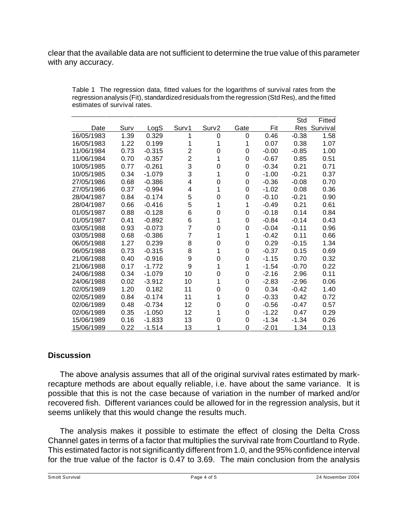clear that the available data are not sufficient to determine the true value of this parameter with any accuracy.

|            |      |          |       |                   |      |         | Std     | Fitted   |
|------------|------|----------|-------|-------------------|------|---------|---------|----------|
| Date       | Surv | LogS     | Surv1 | Surv <sub>2</sub> | Gate | Fit     | Res     | Survival |
| 16/05/1983 | 1.39 | 0.329    |       | 0                 | 0    | 0.46    | $-0.38$ | 1.58     |
| 16/05/1983 | 1.22 | 0.199    |       |                   |      | 0.07    | 0.38    | 1.07     |
| 11/06/1984 | 0.73 | $-0.315$ | 2     | 0                 | 0    | $-0.00$ | $-0.85$ | 1.00     |
| 11/06/1984 | 0.70 | $-0.357$ | 2     |                   | 0    | $-0.67$ | 0.85    | 0.51     |
| 10/05/1985 | 0.77 | $-0.261$ | 3     | 0                 | 0    | $-0.34$ | 0.21    | 0.71     |
| 10/05/1985 | 0.34 | $-1.079$ | 3     |                   | 0    | $-1.00$ | $-0.21$ | 0.37     |
| 27/05/1986 | 0.68 | $-0.386$ | 4     | 0                 | 0    | $-0.36$ | $-0.08$ | 0.70     |
| 27/05/1986 | 0.37 | $-0.994$ | 4     |                   | 0    | $-1.02$ | 0.08    | 0.36     |
| 28/04/1987 | 0.84 | $-0.174$ | 5     | 0                 | 0    | $-0.10$ | $-0.21$ | 0.90     |
| 28/04/1987 | 0.66 | $-0.416$ | 5     |                   | 1    | $-0.49$ | 0.21    | 0.61     |
| 01/05/1987 | 0.88 | $-0.128$ | 6     | 0                 | 0    | $-0.18$ | 0.14    | 0.84     |
| 01/05/1987 | 0.41 | $-0.892$ | 6     |                   | 0    | $-0.84$ | $-0.14$ | 0.43     |
| 03/05/1988 | 0.93 | $-0.073$ | 7     | 0                 | 0    | $-0.04$ | $-0.11$ | 0.96     |
| 03/05/1988 | 0.68 | $-0.386$ | 7     |                   | 1    | $-0.42$ | 0.11    | 0.66     |
| 06/05/1988 | 1.27 | 0.239    | 8     | 0                 | 0    | 0.29    | $-0.15$ | 1.34     |
| 06/05/1988 | 0.73 | $-0.315$ | 8     | 1                 | 0    | $-0.37$ | 0.15    | 0.69     |
| 21/06/1988 | 0.40 | $-0.916$ | 9     | 0                 | 0    | $-1.15$ | 0.70    | 0.32     |
| 21/06/1988 | 0.17 | $-1.772$ | 9     |                   | 1    | $-1.54$ | $-0.70$ | 0.22     |
| 24/06/1988 | 0.34 | -1.079   | 10    | 0                 | 0    | $-2.16$ | 2.96    | 0.11     |
| 24/06/1988 | 0.02 | $-3.912$ | 10    |                   | 0    | $-2.83$ | $-2.96$ | 0.06     |
| 02/05/1989 | 1.20 | 0.182    | 11    | 0                 | 0    | 0.34    | $-0.42$ | 1.40     |
| 02/05/1989 | 0.84 | $-0.174$ | 11    |                   | 0    | $-0.33$ | 0.42    | 0.72     |
| 02/06/1989 | 0.48 | $-0.734$ | 12    | 0                 | 0    | $-0.56$ | $-0.47$ | 0.57     |
| 02/06/1989 | 0.35 | $-1.050$ | 12    |                   | 0    | $-1.22$ | 0.47    | 0.29     |
| 15/06/1989 | 0.16 | $-1.833$ | 13    | 0                 | 0    | $-1.34$ | $-1.34$ | 0.26     |
| 15/06/1989 | 0.22 | $-1.514$ | 13    |                   | 0    | $-2.01$ | 1.34    | 0.13     |

Table 1 The regression data, fitted values for the logarithms of survival rates from the regression analysis (Fit), standardized residuals from the regression (Std Res), and the fitted estimates of survival rates.

#### **Discussion**

The above analysis assumes that all of the original survival rates estimated by markrecapture methods are about equally reliable, i.e. have about the same variance. It is possible that this is not the case because of variation in the number of marked and/or recovered fish. Different variances could be allowed for in the regression analysis, but it seems unlikely that this would change the results much.

The analysis makes it possible to estimate the effect of closing the Delta Cross Channel gates in terms of a factor that multiplies the survival rate from Courtland to Ryde. This estimated factor is not significantly different from 1.0, and the 95% confidence interval for the true value of the factor is 0.47 to 3.69. The main conclusion from the analysis